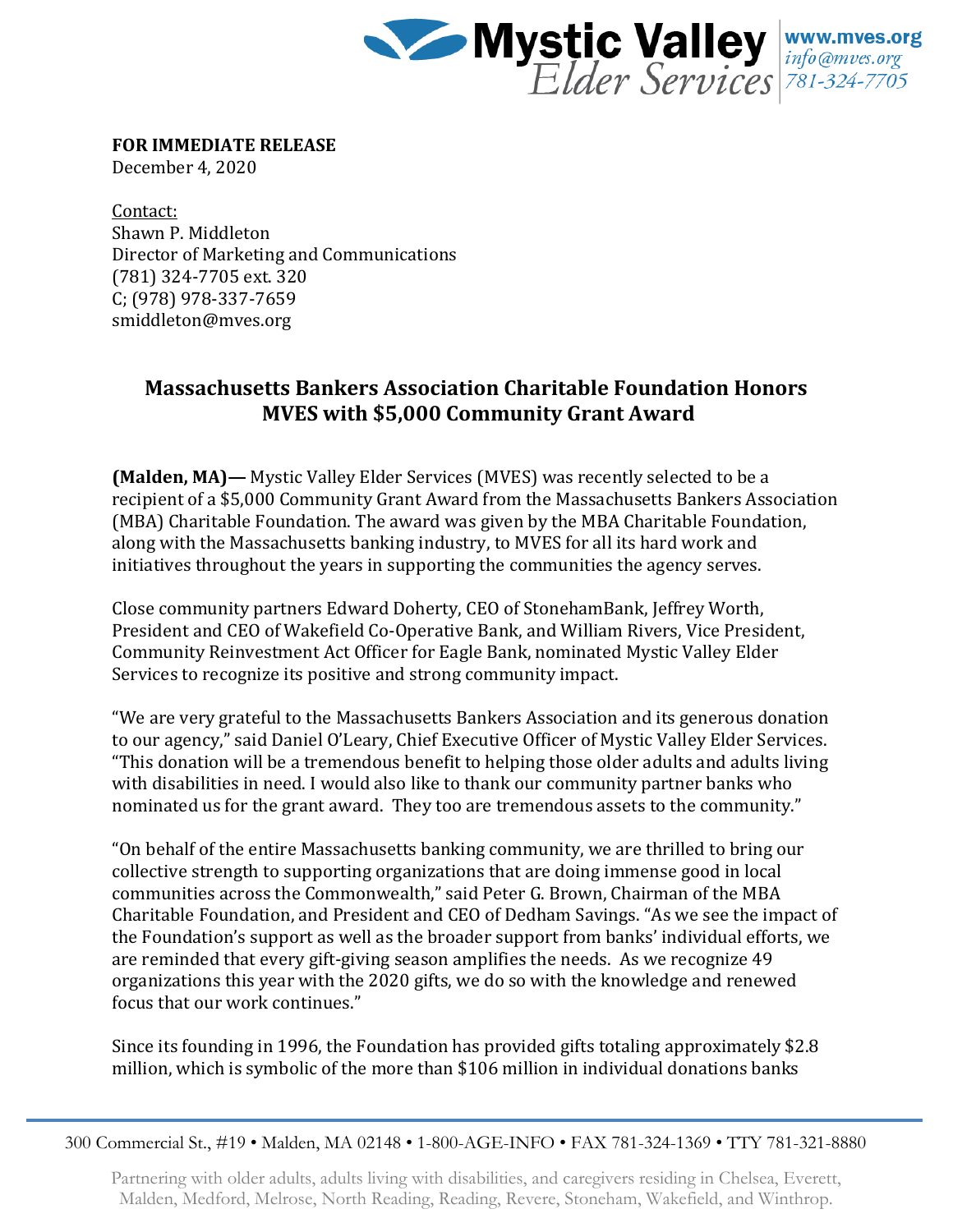

**FOR IMMEDIATE RELEASE**

December 4, 2020

Contact: Shawn P. Middleton Director of Marketing and Communications (781) 324-7705 ext. 320 C; (978) 978-337-7659 smiddleton@mves.org

## **Massachusetts Bankers Association Charitable Foundation Honors MVES with \$5,000 Community Grant Award**

**(Malden, MA)—** Mystic Valley Elder Services (MVES) was recently selected to be a recipient of a \$5,000 Community Grant Award from the Massachusetts Bankers Association (MBA) Charitable Foundation. The award was given by the MBA Charitable Foundation, along with the Massachusetts banking industry, to MVES for all its hard work and initiatives throughout the years in supporting the communities the agency serves.

Close community partners Edward Doherty, CEO of StonehamBank, Jeffrey Worth, President and CEO of Wakefield Co-Operative Bank, and William Rivers, Vice President, Community Reinvestment Act Officer for Eagle Bank, nominated Mystic Valley Elder Services to recognize its positive and strong community impact.

"We are very grateful to the Massachusetts Bankers Association and its generous donation to our agency," said Daniel O'Leary, Chief Executive Officer of Mystic Valley Elder Services. "This donation will be a tremendous benefit to helping those older adults and adults living with disabilities in need. I would also like to thank our community partner banks who nominated us for the grant award. They too are tremendous assets to the community."

"On behalf of the entire Massachusetts banking community, we are thrilled to bring our collective strength to supporting organizations that are doing immense good in local communities across the Commonwealth," said Peter G. Brown, Chairman of the MBA Charitable Foundation, and President and CEO of Dedham Savings. "As we see the impact of the Foundation's support as well as the broader support from banks' individual efforts, we are reminded that every gift-giving season amplifies the needs. As we recognize 49 organizations this year with the 2020 gifts, we do so with the knowledge and renewed focus that our work continues."

Since its founding in 1996, the Foundation has provided gifts totaling approximately \$2.8 million, which is symbolic of the more than \$106 million in individual donations banks

300 Commercial St., #19 • Malden, MA 02148 • 1-800-AGE-INFO • FAX 781-324-1369 • TTY 781-321-8880

Partnering with older adults, adults living with disabilities, and caregivers residing in Chelsea, Everett, Malden, Medford, Melrose, North Reading, Reading, Revere, Stoneham, Wakefield, and Winthrop.